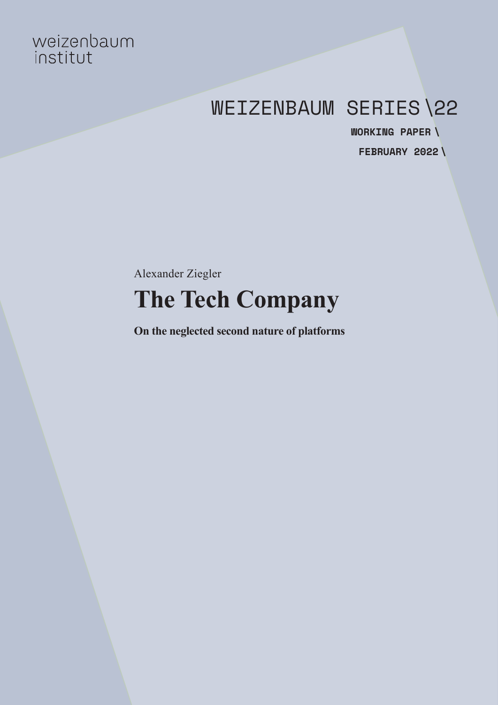# weizenbaum<br>institut

## WEIZENBAUM SERIES\22

**FEBRUARY 2022 \WORKING PAPER \**

Alexander Ziegler **The Tech Company**

**On the neglected second nature of platforms**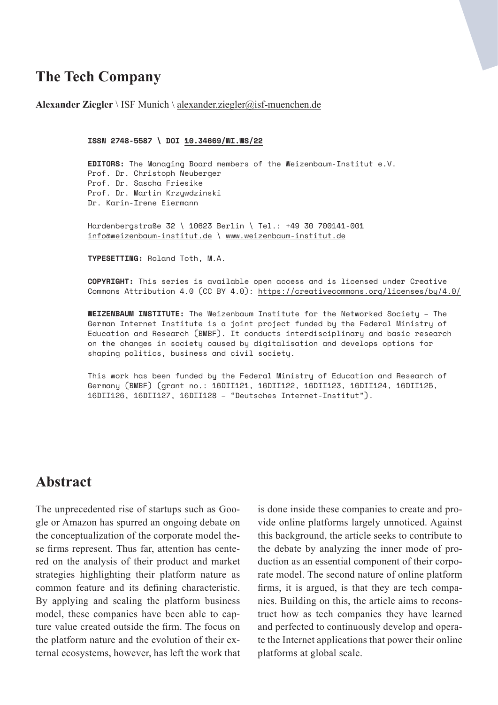## **The Tech Company**

**Alexander Ziegler** \ ISF Munich \ [alexander.ziegler@isf-muenchen.de](mailto:alexander.ziegler%40isf-muenchen.de?subject=)

```
ISSN 2748-5587 \ DOI 10.34669/WI.WS/22
```
**EDITORS:** The Managing Board members of the Weizenbaum-Institut e.V. Prof. Dr. Christoph Neuberger Prof. Dr. Sascha Friesike Prof. Dr. Martin Krzywdzinski Dr. Karin-Irene Eiermann

Hardenbergstraße 32 \ 10623 Berlin \ Tel.: +49 30 700141-001 [info@weizenbaum-institut.de](mailto:info%40weizenbaum-institut.de?subject=) \ [www.weizenbaum-institut.de](http://www.weizenbaum-institut.de)

**TYPESETTING:** Roland Toth, M.A.

**COPYRIGHT:** This series is available open access and is licensed under Creative Commons Attribution 4.0 (CC BY 4.0): <https://creativecommons.org/licenses/by/4.0/>

**WEIZENBAUM INSTITUTE:** The Weizenbaum Institute for the Networked Society – The German Internet Institute is a joint project funded by the Federal Ministry of Education and Research (BMBF). It conducts interdisciplinary and basic research on the changes in society caused by digitalisation and develops options for shaping politics, business and civil society.

This work has been funded by the Federal Ministry of Education and Research of Germany (BMBF) (grant no.: 16DII121, 16DII122, 16DII123, 16DII124, 16DII125, 16DII126, 16DII127, 16DII128 – "Deutsches Internet-Institut").

## **Abstract**

The unprecedented rise of startups such as Google or Amazon has spurred an ongoing debate on the conceptualization of the corporate model these firms represent. Thus far, attention has centered on the analysis of their product and market strategies highlighting their platform nature as common feature and its defining characteristic. By applying and scaling the platform business model, these companies have been able to capture value created outside the firm. The focus on the platform nature and the evolution of their external ecosystems, however, has left the work that

is done inside these companies to create and provide online platforms largely unnoticed. Against this background, the article seeks to contribute to the debate by analyzing the inner mode of production as an essential component of their corporate model. The second nature of online platform firms, it is argued, is that they are tech companies. Building on this, the article aims to reconstruct how as tech companies they have learned and perfected to continuously develop and operate the Internet applications that power their online platforms at global scale.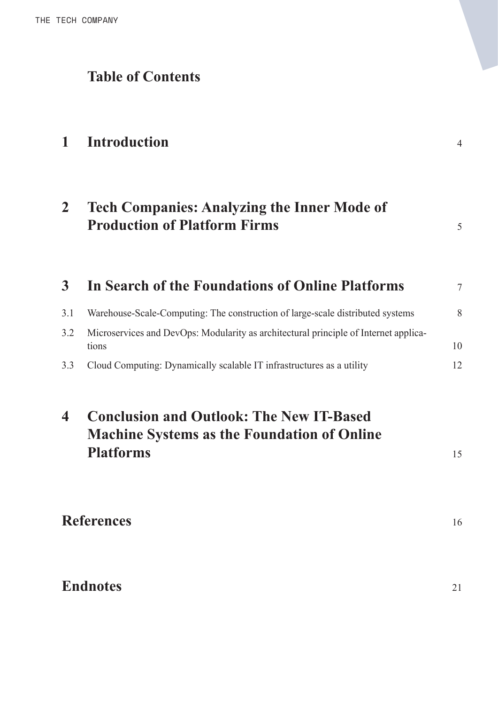## **Table of Contents**

## **1 [Introduction](#page-3-0)** <sup>4</sup>

| <b>Tech Companies: Analyzing the Inner Mode of</b> |  |
|----------------------------------------------------|--|
| <b>Production of Platform Firms</b>                |  |

|     | In Search of the Foundations of Online Platforms                                              | 7  |
|-----|-----------------------------------------------------------------------------------------------|----|
| 3.1 | Warehouse-Scale-Computing: The construction of large-scale distributed systems                | 8  |
| 3.2 | Microservices and DevOps: Modularity as architectural principle of Internet applica-<br>tions | 10 |
| 3.3 | Cloud Computing: Dynamically scalable IT infrastructures as a utility                         | 12 |
|     |                                                                                               |    |

| 4 Conclusion and Outlook: The New IT-Based         |  |
|----------------------------------------------------|--|
| <b>Machine Systems as the Foundation of Online</b> |  |
| <b>Platforms</b>                                   |  |

**[References](#page-15-0)** <sup>16</sup>

**[Endnotes](#page-20-0)** <sup>21</sup>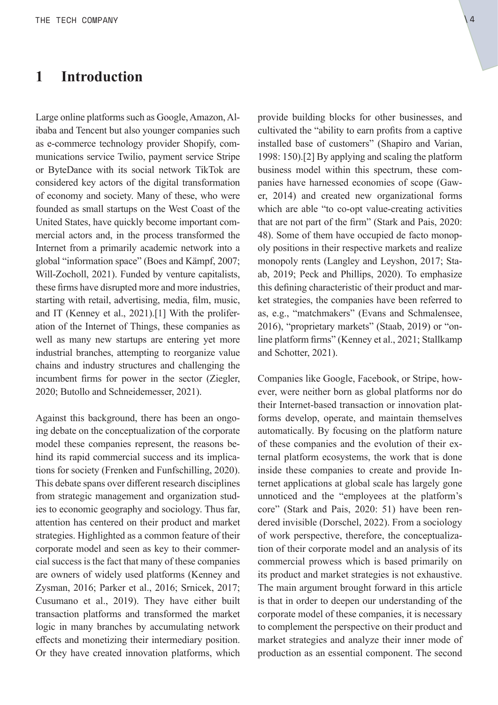#### <span id="page-3-0"></span>**1 Introduction**

Large online platforms such as Google, Amazon, Alibaba and Tencent but also younger companies such as e-commerce technology provider Shopify, communications service Twilio, payment service Stripe or ByteDance with its social network TikTok are considered key actors of the digital transformation of economy and society. Many of these, who were founded as small startups on the West Coast of the United States, have quickly become important commercial actors and, in the process transformed the Internet from a primarily academic network into a global "information space" (Boes and Kämpf, 2007; Will-Zocholl, 2021). Funded by venture capitalists, these firms have disrupted more and more industries, starting with retail, advertising, media, film, music, [and IT \(Kenney et al., 2021\).](#page-20-0)[1] With the proliferation of the Internet of Things, these companies as well as many new startups are entering yet more industrial branches, attempting to reorganize value chains and industry structures and challenging the incumbent firms for power in the sector (Ziegler, 2020; Butollo and Schneidemesser, 2021).

Against this background, there has been an ongoing debate on the conceptualization of the corporate model these companies represent, the reasons behind its rapid commercial success and its implications for society (Frenken and Funfschilling, 2020). This debate spans over different research disciplines from strategic management and organization studies to economic geography and sociology. Thus far, attention has centered on their product and market strategies. Highlighted as a common feature of their corporate model and seen as key to their commercial success is the fact that many of these companies are owners of widely used platforms (Kenney and Zysman, 2016; Parker et al., 2016; Srnicek, 2017; Cusumano et al., 2019). They have either built transaction platforms and transformed the market logic in many branches by accumulating network effects and monetizing their intermediary position. Or they have created innovation platforms, which provide building blocks for other businesses, and cultivated the "ability to earn profits from a captive installed base of customers" (Shapiro and Varian, 1998: 150).[\[2\] By applying and scaling the platform](#page-20-0)  business model within this spectrum, these companies have harnessed economies of scope (Gawer, 2014) and created new organizational forms which are able "to co-opt value-creating activities that are not part of the firm" (Stark and Pais, 2020: 48). Some of them have occupied de facto monopoly positions in their respective markets and realize monopoly rents (Langley and Leyshon, 2017; Staab, 2019; Peck and Phillips, 2020). To emphasize this defining characteristic of their product and market strategies, the companies have been referred to as, e.g., "matchmakers" (Evans and Schmalensee, 2016), "proprietary markets" (Staab, 2019) or "online platform firms" (Kenney et al., 2021; Stallkamp and Schotter, 2021).

Companies like Google, Facebook, or Stripe, however, were neither born as global platforms nor do their Internet-based transaction or innovation platforms develop, operate, and maintain themselves automatically. By focusing on the platform nature of these companies and the evolution of their external platform ecosystems, the work that is done inside these companies to create and provide Internet applications at global scale has largely gone unnoticed and the "employees at the platform's core" (Stark and Pais, 2020: 51) have been rendered invisible (Dorschel, 2022). From a sociology of work perspective, therefore, the conceptualization of their corporate model and an analysis of its commercial prowess which is based primarily on its product and market strategies is not exhaustive. The main argument brought forward in this article is that in order to deepen our understanding of the corporate model of these companies, it is necessary to complement the perspective on their product and market strategies and analyze their inner mode of production as an essential component. The second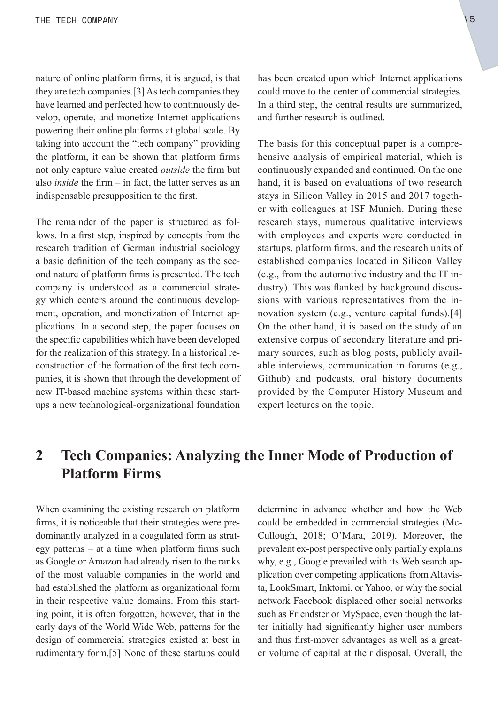<span id="page-4-0"></span>nature of online platform firms, it is argued, is that [they are tech companies.\[3\] As tech companies they](#page-20-0)  have learned and perfected how to continuously develop, operate, and monetize Internet applications powering their online platforms at global scale. By taking into account the "tech company" providing the platform, it can be shown that platform firms not only capture value created *outside* the firm but also *inside* the firm – in fact, the latter serves as an indispensable presupposition to the first.

The remainder of the paper is structured as follows. In a first step, inspired by concepts from the research tradition of German industrial sociology a basic definition of the tech company as the second nature of platform firms is presented. The tech company is understood as a commercial strategy which centers around the continuous development, operation, and monetization of Internet applications. In a second step, the paper focuses on the specific capabilities which have been developed for the realization of this strategy. In a historical reconstruction of the formation of the first tech companies, it is shown that through the development of new IT-based machine systems within these startups a new technological-organizational foundation has been created upon which Internet applications could move to the center of commercial strategies. In a third step, the central results are summarized, and further research is outlined.

The basis for this conceptual paper is a comprehensive analysis of empirical material, which is continuously expanded and continued. On the one hand, it is based on evaluations of two research stays in Silicon Valley in 2015 and 2017 together with colleagues at ISF Munich. During these research stays, numerous qualitative interviews with employees and experts were conducted in startups, platform firms, and the research units of established companies located in Silicon Valley (e.g., from the automotive industry and the IT industry). This was flanked by background discussions with various representatives from the in[novation system \(e.g., venture capital funds\).](#page-20-0)[4] On the other hand, it is based on the study of an extensive corpus of secondary literature and primary sources, such as blog posts, publicly available interviews, communication in forums (e.g., Github) and podcasts, oral history documents provided by the Computer History Museum and expert lectures on the topic.

## **2 Tech Companies: Analyzing the Inner Mode of Production of Platform Firms**

When examining the existing research on platform firms, it is noticeable that their strategies were predominantly analyzed in a coagulated form as strategy patterns – at a time when platform firms such as Google or Amazon had already risen to the ranks of the most valuable companies in the world and had established the platform as organizational form in their respective value domains. From this starting point, it is often forgotten, however, that in the early days of the World Wide Web, patterns for the design of commercial strategies existed at best in [rudimentary form.\[5\] None of these startups could](#page-20-0)  determine in advance whether and how the Web could be embedded in commercial strategies (Mc-Cullough, 2018; O'Mara, 2019). Moreover, the prevalent ex-post perspective only partially explains why, e.g., Google prevailed with its Web search application over competing applications from Altavista, LookSmart, Inktomi, or Yahoo, or why the social network Facebook displaced other social networks such as Friendster or MySpace, even though the latter initially had significantly higher user numbers and thus first-mover advantages as well as a greater volume of capital at their disposal. Overall, the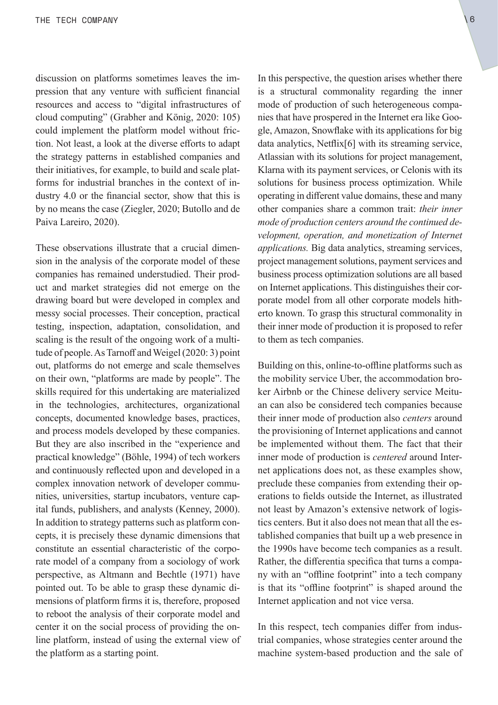<span id="page-5-0"></span>discussion on platforms sometimes leaves the impression that any venture with sufficient financial resources and access to "digital infrastructures of cloud computing" (Grabher and König, 2020: 105) could implement the platform model without friction. Not least, a look at the diverse efforts to adapt the strategy patterns in established companies and their initiatives, for example, to build and scale platforms for industrial branches in the context of industry 4.0 or the financial sector, show that this is by no means the case (Ziegler, 2020; Butollo and de Paiva Lareiro, 2020).

These observations illustrate that a crucial dimension in the analysis of the corporate model of these companies has remained understudied. Their product and market strategies did not emerge on the drawing board but were developed in complex and messy social processes. Their conception, practical testing, inspection, adaptation, consolidation, and scaling is the result of the ongoing work of a multitude of people. As Tarnoff and Weigel (2020: 3) point out, platforms do not emerge and scale themselves on their own, "platforms are made by people". The skills required for this undertaking are materialized in the technologies, architectures, organizational concepts, documented knowledge bases, practices, and process models developed by these companies. But they are also inscribed in the "experience and practical knowledge" (Böhle, 1994) of tech workers and continuously reflected upon and developed in a complex innovation network of developer communities, universities, startup incubators, venture capital funds, publishers, and analysts (Kenney, 2000). In addition to strategy patterns such as platform concepts, it is precisely these dynamic dimensions that constitute an essential characteristic of the corporate model of a company from a sociology of work perspective, as Altmann and Bechtle (1971) have pointed out. To be able to grasp these dynamic dimensions of platform firms it is, therefore, proposed to reboot the analysis of their corporate model and center it on the social process of providing the online platform, instead of using the external view of the platform as a starting point.

In this perspective, the question arises whether there is a structural commonality regarding the inner mode of production of such heterogeneous companies that have prospered in the Internet era like Google, Amazon, Snowflake with its applications for big data analytics, Netflix[6] [with its streaming service,](#page-20-0)  Atlassian with its solutions for project management, Klarna with its payment services, or Celonis with its solutions for business process optimization. While operating in different value domains, these and many other companies share a common trait: *their inner mode of production centers around the continued development, operation, and monetization of Internet applications.* Big data analytics, streaming services, project management solutions, payment services and business process optimization solutions are all based on Internet applications. This distinguishes their corporate model from all other corporate models hitherto known. To grasp this structural commonality in their inner mode of production it is proposed to refer to them as tech companies.

Building on this, online-to-offline platforms such as the mobility service Uber, the accommodation broker Airbnb or the Chinese delivery service Meituan can also be considered tech companies because their inner mode of production also *centers* around the provisioning of Internet applications and cannot be implemented without them. The fact that their inner mode of production is *centered* around Internet applications does not, as these examples show, preclude these companies from extending their operations to fields outside the Internet, as illustrated not least by Amazon's extensive network of logistics centers. But it also does not mean that all the established companies that built up a web presence in the 1990s have become tech companies as a result. Rather, the differentia specifica that turns a company with an "offline footprint" into a tech company is that its "offline footprint" is shaped around the Internet application and not vice versa.

In this respect, tech companies differ from industrial companies, whose strategies center around the machine system-based production and the sale of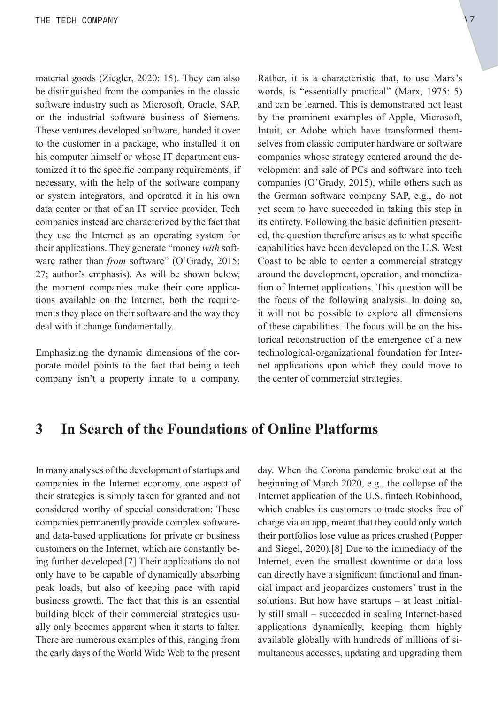<span id="page-6-0"></span>material goods (Ziegler, 2020: 15). They can also be distinguished from the companies in the classic software industry such as Microsoft, Oracle, SAP, or the industrial software business of Siemens. These ventures developed software, handed it over to the customer in a package, who installed it on his computer himself or whose IT department customized it to the specific company requirements, if necessary, with the help of the software company or system integrators, and operated it in his own data center or that of an IT service provider. Tech companies instead are characterized by the fact that they use the Internet as an operating system for their applications. They generate "money *with* software rather than *from* software" (O'Grady, 2015: 27; author's emphasis). As will be shown below, the moment companies make their core applications available on the Internet, both the requirements they place on their software and the way they deal with it change fundamentally.

Emphasizing the dynamic dimensions of the corporate model points to the fact that being a tech company isn't a property innate to a company. Rather, it is a characteristic that, to use Marx's words, is "essentially practical" (Marx, 1975: 5) and can be learned. This is demonstrated not least by the prominent examples of Apple, Microsoft, Intuit, or Adobe which have transformed themselves from classic computer hardware or software companies whose strategy centered around the development and sale of PCs and software into tech companies (O'Grady, 2015), while others such as the German software company SAP, e.g., do not yet seem to have succeeded in taking this step in its entirety. Following the basic definition presented, the question therefore arises as to what specific capabilities have been developed on the U.S. West Coast to be able to center a commercial strategy around the development, operation, and monetization of Internet applications. This question will be the focus of the following analysis. In doing so, it will not be possible to explore all dimensions of these capabilities. The focus will be on the historical reconstruction of the emergence of a new technological-organizational foundation for Internet applications upon which they could move to the center of commercial strategies.

#### **3 In Search of the Foundations of Online Platforms**

In many analyses of the development of startups and companies in the Internet economy, one aspect of their strategies is simply taken for granted and not considered worthy of special consideration: These companies permanently provide complex softwareand data-based applications for private or business customers on the Internet, which are constantly being further developed.[\[7\] Their applications do not](#page-20-0)  only have to be capable of dynamically absorbing peak loads, but also of keeping pace with rapid business growth. The fact that this is an essential building block of their commercial strategies usually only becomes apparent when it starts to falter. There are numerous examples of this, ranging from the early days of the World Wide Web to the present day. When the Corona pandemic broke out at the beginning of March 2020, e.g., the collapse of the Internet application of the U.S. fintech Robinhood, which enables its customers to trade stocks free of charge via an app, meant that they could only watch their portfolios lose value as prices crashed (Popper and Siegel, 2020).[8] [Due to the immediacy of the](#page-20-0)  Internet, even the smallest downtime or data loss can directly have a significant functional and financial impact and jeopardizes customers' trust in the solutions. But how have startups – at least initially still small – succeeded in scaling Internet-based applications dynamically, keeping them highly available globally with hundreds of millions of simultaneous accesses, updating and upgrading them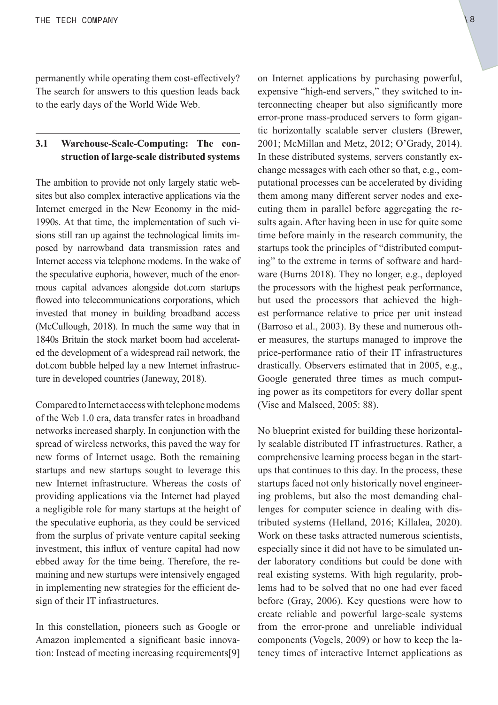<span id="page-7-0"></span>permanently while operating them cost-effectively? The search for answers to this question leads back to the early days of the World Wide Web.

#### **3.1 Warehouse-Scale-Computing: The construction of large-scale distributed systems**

The ambition to provide not only largely static websites but also complex interactive applications via the Internet emerged in the New Economy in the mid-1990s. At that time, the implementation of such visions still ran up against the technological limits imposed by narrowband data transmission rates and Internet access via telephone modems. In the wake of the speculative euphoria, however, much of the enormous capital advances alongside [dot.com](http://dot.com) startups flowed into telecommunications corporations, which invested that money in building broadband access (McCullough, 2018). In much the same way that in 1840s Britain the stock market boom had accelerated the development of a widespread rail network, the [dot.com](http://dot.com) bubble helped lay a new Internet infrastructure in developed countries (Janeway, 2018).

Compared to Internet access with telephone modems of the Web 1.0 era, data transfer rates in broadband networks increased sharply. In conjunction with the spread of wireless networks, this paved the way for new forms of Internet usage. Both the remaining startups and new startups sought to leverage this new Internet infrastructure. Whereas the costs of providing applications via the Internet had played a negligible role for many startups at the height of the speculative euphoria, as they could be serviced from the surplus of private venture capital seeking investment, this influx of venture capital had now ebbed away for the time being. Therefore, the remaining and new startups were intensively engaged in implementing new strategies for the efficient design of their IT infrastructures.

In this constellation, pioneers such as Google or Amazon implemented a significant basic innova[tion: Instead of meeting increasing requirements\[9\]](#page-20-0) on Internet applications by purchasing powerful, expensive "high-end servers," they switched to interconnecting cheaper but also significantly more error-prone mass-produced servers to form gigantic horizontally scalable server clusters (Brewer, 2001; McMillan and Metz, 2012; O'Grady, 2014). In these distributed systems, servers constantly exchange messages with each other so that, e.g., computational processes can be accelerated by dividing them among many different server nodes and executing them in parallel before aggregating the results again. After having been in use for quite some time before mainly in the research community, the startups took the principles of "distributed computing" to the extreme in terms of software and hard-

ware (Burns 2018). They no longer, e.g., deployed the processors with the highest peak performance, but used the processors that achieved the highest performance relative to price per unit instead (Barroso et al., 2003). By these and numerous other measures, the startups managed to improve the price-performance ratio of their IT infrastructures drastically. Observers estimated that in 2005, e.g., Google generated three times as much computing power as its competitors for every dollar spent (Vise and Malseed, 2005: 88).

No blueprint existed for building these horizontally scalable distributed IT infrastructures. Rather, a comprehensive learning process began in the startups that continues to this day. In the process, these startups faced not only historically novel engineering problems, but also the most demanding challenges for computer science in dealing with distributed systems (Helland, 2016; Killalea, 2020). Work on these tasks attracted numerous scientists, especially since it did not have to be simulated under laboratory conditions but could be done with real existing systems. With high regularity, problems had to be solved that no one had ever faced before (Gray, 2006). Key questions were how to create reliable and powerful large-scale systems from the error-prone and unreliable individual components (Vogels, 2009) or how to keep the latency times of interactive Internet applications as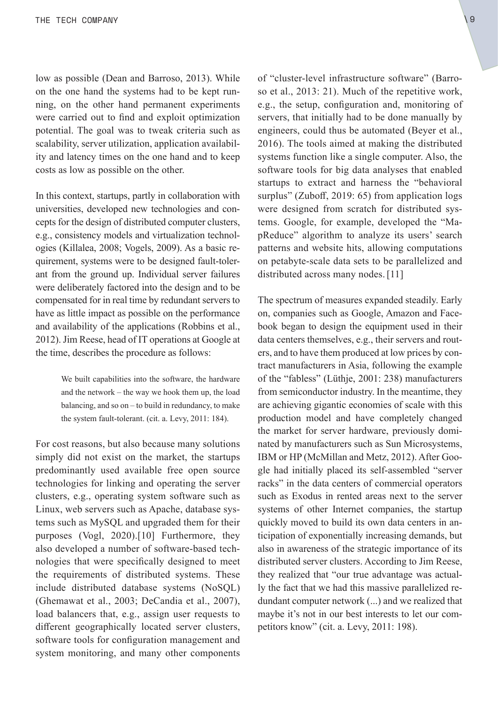<span id="page-8-0"></span>low as possible (Dean and Barroso, 2013). While on the one hand the systems had to be kept running, on the other hand permanent experiments were carried out to find and exploit optimization potential. The goal was to tweak criteria such as scalability, server utilization, application availability and latency times on the one hand and to keep costs as low as possible on the other.

In this context, startups, partly in collaboration with universities, developed new technologies and concepts for the design of distributed computer clusters, e.g., consistency models and virtualization technologies (Killalea, 2008; Vogels, 2009). As a basic requirement, systems were to be designed fault-tolerant from the ground up. Individual server failures were deliberately factored into the design and to be compensated for in real time by redundant servers to have as little impact as possible on the performance and availability of the applications (Robbins et al., 2012). Jim Reese, head of IT operations at Google at the time, describes the procedure as follows:

> We built capabilities into the software, the hardware and the network – the way we hook them up, the load balancing, and so on – to build in redundancy, to make the system fault-tolerant. (cit. a. Levy, 2011: 184).

For cost reasons, but also because many solutions simply did not exist on the market, the startups predominantly used available free open source technologies for linking and operating the server clusters, e.g., operating system software such as Linux, web servers such as Apache, database systems such as MySQL and upgraded them for their [purposes \(Vogl, 2020\).](#page-20-0)[10] Furthermore, they also developed a number of software-based technologies that were specifically designed to meet the requirements of distributed systems. These include distributed database systems (NoSQL) (Ghemawat et al., 2003; DeCandia et al., 2007), load balancers that, e.g., assign user requests to different geographically located server clusters, software tools for configuration management and system monitoring, and many other components of "cluster-level infrastructure software" (Barroso et al., 2013: 21). Much of the repetitive work, e.g., the setup, configuration and, monitoring of servers, that initially had to be done manually by engineers, could thus be automated (Beyer et al., 2016). The tools aimed at making the distributed systems function like a single computer. Also, the software tools for big data analyses that enabled startups to extract and harness the "behavioral surplus" (Zuboff, 2019: 65) from application logs were designed from scratch for distributed systems. Google, for example, developed the "MapReduce" algorithm to analyze its users' search patterns and website hits, allowing computations on petabyte-scale data sets to be parallelized and distributed across many nodes.[\[11\]](#page-20-0)

The spectrum of measures expanded steadily. Early on, companies such as Google, Amazon and Facebook began to design the equipment used in their data centers themselves, e.g., their servers and routers, and to have them produced at low prices by contract manufacturers in Asia, following the example of the "fabless" (Lüthje, 2001: 238) manufacturers from semiconductor industry. In the meantime, they are achieving gigantic economies of scale with this production model and have completely changed the market for server hardware, previously dominated by manufacturers such as Sun Microsystems, IBM or HP (McMillan and Metz, 2012). After Google had initially placed its self-assembled "server racks" in the data centers of commercial operators such as Exodus in rented areas next to the server systems of other Internet companies, the startup quickly moved to build its own data centers in anticipation of exponentially increasing demands, but also in awareness of the strategic importance of its distributed server clusters. According to Jim Reese, they realized that "our true advantage was actually the fact that we had this massive parallelized redundant computer network (...) and we realized that maybe it's not in our best interests to let our competitors know" (cit. a. Levy, 2011: 198).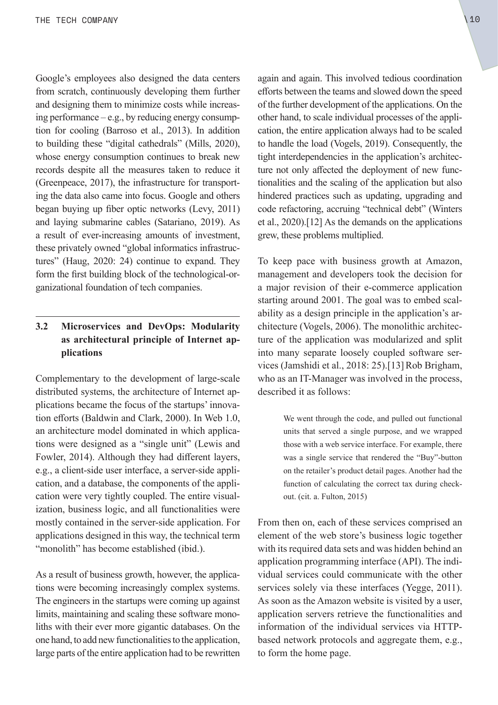<span id="page-9-0"></span>Google's employees also designed the data centers from scratch, continuously developing them further and designing them to minimize costs while increasing performance – e.g., by reducing energy consumption for cooling (Barroso et al., 2013). In addition to building these "digital cathedrals" (Mills, 2020), whose energy consumption continues to break new records despite all the measures taken to reduce it (Greenpeace, 2017), the infrastructure for transporting the data also came into focus. Google and others began buying up fiber optic networks (Levy, 2011) and laying submarine cables (Satariano, 2019). As a result of ever-increasing amounts of investment, these privately owned "global informatics infrastructures" (Haug, 2020: 24) continue to expand. They form the first building block of the technological-organizational foundation of tech companies.

#### **3.2 Microservices and DevOps: Modularity as architectural principle of Internet applications**

Complementary to the development of large-scale distributed systems, the architecture of Internet applications became the focus of the startups' innovation efforts (Baldwin and Clark, 2000). In Web 1.0, an architecture model dominated in which applications were designed as a "single unit" (Lewis and Fowler, 2014). Although they had different layers, e.g., a client-side user interface, a server-side application, and a database, the components of the application were very tightly coupled. The entire visualization, business logic, and all functionalities were mostly contained in the server-side application. For applications designed in this way, the technical term "monolith" has become established (ibid.).

As a result of business growth, however, the applications were becoming increasingly complex systems. The engineers in the startups were coming up against limits, maintaining and scaling these software monoliths with their ever more gigantic databases. On the one hand, to add new functionalities to the application, large parts of the entire application had to be rewritten again and again. This involved tedious coordination efforts between the teams and slowed down the speed of the further development of the applications. On the other hand, to scale individual processes of the application, the entire application always had to be scaled to handle the load (Vogels, 2019). Consequently, the tight interdependencies in the application's architecture not only affected the deployment of new functionalities and the scaling of the application but also hindered practices such as updating, upgrading and code refactoring, accruing "technical debt" (Winters et al., 2020).[\[12\] As the demands on the applications](#page-20-0)  grew, these problems multiplied.

To keep pace with business growth at Amazon, management and developers took the decision for a major revision of their e-commerce application starting around 2001. The goal was to embed scalability as a design principle in the application's architecture (Vogels, 2006). The monolithic architecture of the application was modularized and split into many separate loosely coupled software ser[vices \(Jamshidi et al., 2018: 25\).](#page-20-0)[13]Rob Brigham, who as an IT-Manager was involved in the process, described it as follows:

> We went through the code, and pulled out functional units that served a single purpose, and we wrapped those with a web service interface. For example, there was a single service that rendered the "Buy"-button on the retailer's product detail pages. Another had the function of calculating the correct tax during checkout. (cit. a. Fulton, 2015)

From then on, each of these services comprised an element of the web store's business logic together with its required data sets and was hidden behind an application programming interface (API). The individual services could communicate with the other services solely via these interfaces (Yegge, 2011). As soon as the Amazon website is visited by a user, application servers retrieve the functionalities and information of the individual services via HTTPbased network protocols and aggregate them, e.g., to form the home page.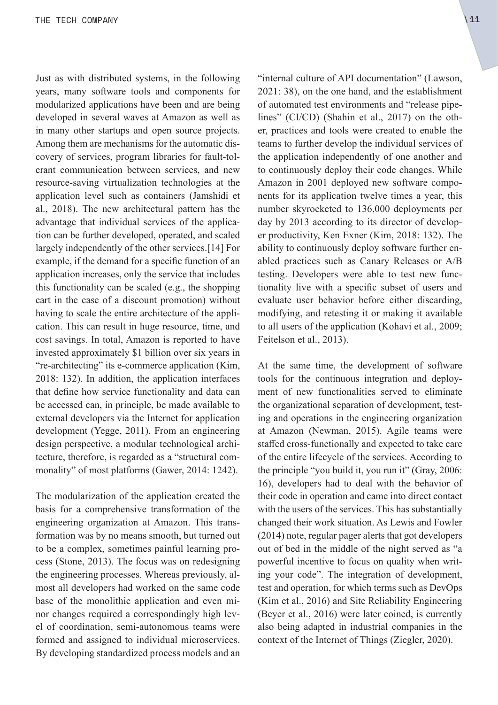<span id="page-10-0"></span>Just as with distributed systems, in the following years, many software tools and components for modularized applications have been and are being developed in several waves at Amazon as well as in many other startups and open source projects. Among them are mechanisms for the automatic discovery of services, program libraries for fault-tolerant communication between services, and new resource-saving virtualization technologies at the application level such as containers (Jamshidi et al., 2018). The new architectural pattern has the advantage that individual services of the application can be further developed, operated, and scaled [largely independently of the other services.](#page-20-0)[14] For example, if the demand for a specific function of an application increases, only the service that includes this functionality can be scaled (e.g., the shopping cart in the case of a discount promotion) without having to scale the entire architecture of the application. This can result in huge resource, time, and cost savings. In total, Amazon is reported to have invested approximately \$1 billion over six years in "re-architecting" its e-commerce application (Kim, 2018: 132). In addition, the application interfaces that define how service functionality and data can be accessed can, in principle, be made available to external developers via the Internet for application development (Yegge, 2011). From an engineering design perspective, a modular technological architecture, therefore, is regarded as a "structural commonality" of most platforms (Gawer, 2014: 1242).

The modularization of the application created the basis for a comprehensive transformation of the engineering organization at Amazon. This transformation was by no means smooth, but turned out to be a complex, sometimes painful learning process (Stone, 2013). The focus was on redesigning the engineering processes. Whereas previously, almost all developers had worked on the same code base of the monolithic application and even minor changes required a correspondingly high level of coordination, semi-autonomous teams were formed and assigned to individual microservices. By developing standardized process models and an "internal culture of API documentation" (Lawson, 2021: 38), on the one hand, and the establishment of automated test environments and "release pipelines" (CI/CD) (Shahin et al., 2017) on the other, practices and tools were created to enable the teams to further develop the individual services of the application independently of one another and to continuously deploy their code changes. While Amazon in 2001 deployed new software components for its application twelve times a year, this number skyrocketed to 136,000 deployments per day by 2013 according to its director of developer productivity, Ken Exner (Kim, 2018: 132). The ability to continuously deploy software further enabled practices such as Canary Releases or A/B testing. Developers were able to test new functionality live with a specific subset of users and evaluate user behavior before either discarding, modifying, and retesting it or making it available to all users of the application (Kohavi et al., 2009; Feitelson et al., 2013).

At the same time, the development of software tools for the continuous integration and deployment of new functionalities served to eliminate the organizational separation of development, testing and operations in the engineering organization at Amazon (Newman, 2015). Agile teams were staffed cross-functionally and expected to take care of the entire lifecycle of the services. According to the principle "you build it, you run it" (Gray, 2006: 16), developers had to deal with the behavior of their code in operation and came into direct contact with the users of the services. This has substantially changed their work situation. As Lewis and Fowler (2014) note, regular pager alerts that got developers out of bed in the middle of the night served as "a powerful incentive to focus on quality when writing your code". The integration of development, test and operation, for which terms such as DevOps (Kim et al., 2016) and Site Reliability Engineering (Beyer et al., 2016) were later coined, is currently also being adapted in industrial companies in the context of the Internet of Things (Ziegler, 2020).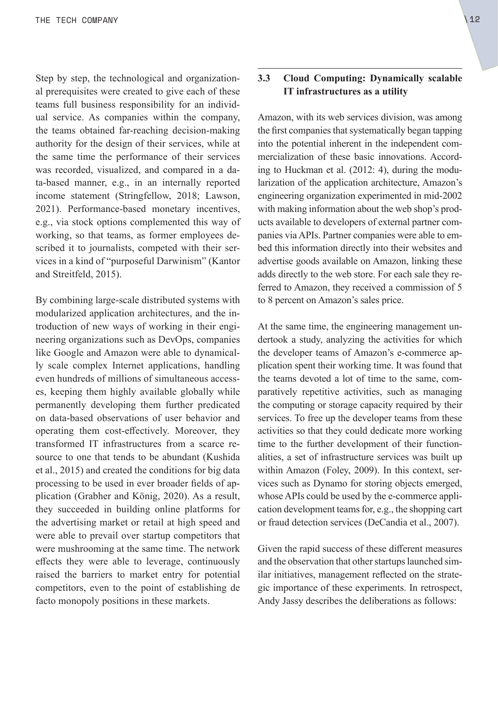<span id="page-11-0"></span>Step by step, the technological and organizational prerequisites were created to give each of these teams full business responsibility for an individual service. As companies within the company, the teams obtained far-reaching decision-making authority for the design of their services, while at the same time the performance of their services was recorded, visualized, and compared in a data-based manner, e.g., in an internally reported income statement (Stringfellow, 2018; Lawson, 2021). Performance-based monetary incentives, e.g., via stock options complemented this way of working, so that teams, as former employees described it to journalists, competed with their services in a kind of "purposeful Darwinism" (Kantor and Streitfeld, 2015).

By combining large-scale distributed systems with modularized application architectures, and the introduction of new ways of working in their engineering organizations such as DevOps, companies like Google and Amazon were able to dynamically scale complex Internet applications, handling even hundreds of millions of simultaneous accesses, keeping them highly available globally while permanently developing them further predicated on data-based observations of user behavior and operating them cost-effectively. Moreover, they transformed IT infrastructures from a scarce resource to one that tends to be abundant (Kushida et al., 2015) and created the conditions for big data processing to be used in ever broader fields of application (Grabher and König, 2020). As a result, they succeeded in building online platforms for the advertising market or retail at high speed and were able to prevail over startup competitors that were mushrooming at the same time. The network effects they were able to leverage, continuously raised the barriers to market entry for potential competitors, even to the point of establishing de facto monopoly positions in these markets.

#### **3.3 Cloud Computing: Dynamically scalable IT infrastructures as a utility**

Amazon, with its web services division, was among the first companies that systematically began tapping into the potential inherent in the independent commercialization of these basic innovations. According to Huckman et al. (2012: 4), during the modularization of the application architecture, Amazon's engineering organization experimented in mid-2002 with making information about the web shop's products available to developers of external partner companies via APIs. Partner companies were able to embed this information directly into their websites and advertise goods available on Amazon, linking these adds directly to the web store. For each sale they referred to Amazon, they received a commission of 5 to 8 percent on Amazon's sales price.

At the same time, the engineering management undertook a study, analyzing the activities for which the developer teams of Amazon's e-commerce application spent their working time. It was found that the teams devoted a lot of time to the same, comparatively repetitive activities, such as managing the computing or storage capacity required by their services. To free up the developer teams from these activities so that they could dedicate more working time to the further development of their functionalities, a set of infrastructure services was built up within Amazon (Foley, 2009). In this context, services such as Dynamo for storing objects emerged, whose APIs could be used by the e-commerce application development teams for, e.g., the shopping cart or fraud detection services (DeCandia et al., 2007).

Given the rapid success of these different measures and the observation that other startups launched similar initiatives, management reflected on the strategic importance of these experiments. In retrospect, Andy Jassy describes the deliberations as follows: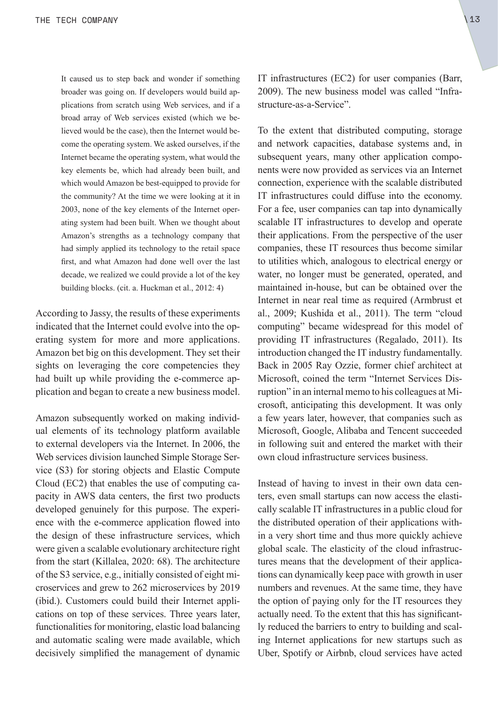It caused us to step back and wonder if something broader was going on. If developers would build applications from scratch using Web services, and if a broad array of Web services existed (which we believed would be the case), then the Internet would become the operating system. We asked ourselves, if the Internet became the operating system, what would the key elements be, which had already been built, and which would Amazon be best-equipped to provide for the community? At the time we were looking at it in 2003, none of the key elements of the Internet operating system had been built. When we thought about Amazon's strengths as a technology company that had simply applied its technology to the retail space first, and what Amazon had done well over the last decade, we realized we could provide a lot of the key building blocks. (cit. a. Huckman et al., 2012: 4)

According to Jassy, the results of these experiments indicated that the Internet could evolve into the operating system for more and more applications. Amazon bet big on this development. They set their sights on leveraging the core competencies they had built up while providing the e-commerce application and began to create a new business model.

Amazon subsequently worked on making individual elements of its technology platform available to external developers via the Internet. In 2006, the Web services division launched Simple Storage Service (S3) for storing objects and Elastic Compute Cloud (EC2) that enables the use of computing capacity in AWS data centers, the first two products developed genuinely for this purpose. The experience with the e-commerce application flowed into the design of these infrastructure services, which were given a scalable evolutionary architecture right from the start (Killalea, 2020: 68). The architecture of the S3 service, e.g., initially consisted of eight microservices and grew to 262 microservices by 2019 (ibid.). Customers could build their Internet applications on top of these services. Three years later, functionalities for monitoring, elastic load balancing and automatic scaling were made available, which decisively simplified the management of dynamic IT infrastructures (EC2) for user companies (Barr, 2009). The new business model was called "Infrastructure-as-a-Service".

To the extent that distributed computing, storage and network capacities, database systems and, in subsequent years, many other application components were now provided as services via an Internet connection, experience with the scalable distributed IT infrastructures could diffuse into the economy. For a fee, user companies can tap into dynamically scalable IT infrastructures to develop and operate their applications. From the perspective of the user companies, these IT resources thus become similar to utilities which, analogous to electrical energy or water, no longer must be generated, operated, and maintained in-house, but can be obtained over the Internet in near real time as required (Armbrust et al., 2009; Kushida et al., 2011). The term "cloud computing" became widespread for this model of providing IT infrastructures (Regalado, 2011). Its introduction changed the IT industry fundamentally. Back in 2005 Ray Ozzie, former chief architect at Microsoft, coined the term "Internet Services Disruption" in an internal memo to his colleagues at Microsoft, anticipating this development. It was only a few years later, however, that companies such as Microsoft, Google, Alibaba and Tencent succeeded in following suit and entered the market with their own cloud infrastructure services business.

Instead of having to invest in their own data centers, even small startups can now access the elastically scalable IT infrastructures in a public cloud for the distributed operation of their applications within a very short time and thus more quickly achieve global scale. The elasticity of the cloud infrastructures means that the development of their applications can dynamically keep pace with growth in user numbers and revenues. At the same time, they have the option of paying only for the IT resources they actually need. To the extent that this has significantly reduced the barriers to entry to building and scaling Internet applications for new startups such as Uber, Spotify or Airbnb, cloud services have acted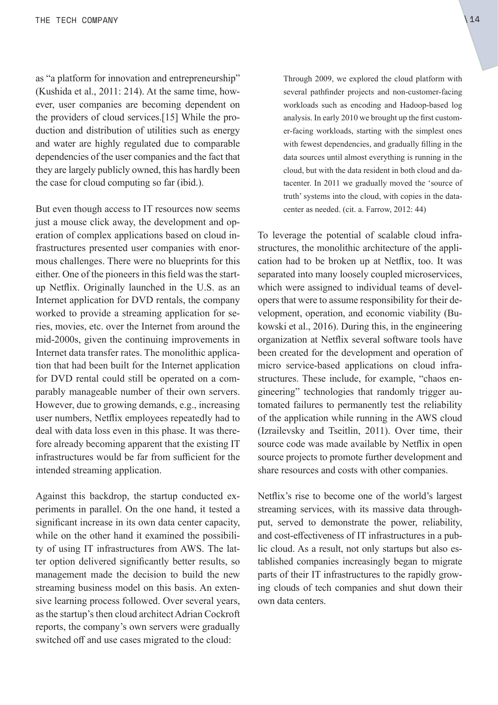<span id="page-13-0"></span>as "a platform for innovation and entrepreneurship" (Kushida et al., 2011: 214). At the same time, however, user companies are becoming dependent on [the providers of cloud services.](#page-20-0)[15] While the production and distribution of utilities such as energy and water are highly regulated due to comparable dependencies of the user companies and the fact that they are largely publicly owned, this has hardly been the case for cloud computing so far (ibid.).

But even though access to IT resources now seems just a mouse click away, the development and operation of complex applications based on cloud infrastructures presented user companies with enormous challenges. There were no blueprints for this either. One of the pioneers in this field was the startup Netflix. Originally launched in the U.S. as an Internet application for DVD rentals, the company worked to provide a streaming application for series, movies, etc. over the Internet from around the mid-2000s, given the continuing improvements in Internet data transfer rates. The monolithic application that had been built for the Internet application for DVD rental could still be operated on a comparably manageable number of their own servers. However, due to growing demands, e.g., increasing user numbers, Netflix employees repeatedly had to deal with data loss even in this phase. It was therefore already becoming apparent that the existing IT infrastructures would be far from sufficient for the intended streaming application.

Against this backdrop, the startup conducted experiments in parallel. On the one hand, it tested a significant increase in its own data center capacity, while on the other hand it examined the possibility of using IT infrastructures from AWS. The latter option delivered significantly better results, so management made the decision to build the new streaming business model on this basis. An extensive learning process followed. Over several years, as the startup's then cloud architect Adrian Cockroft reports, the company's own servers were gradually switched off and use cases migrated to the cloud:

Through 2009, we explored the cloud platform with several pathfinder projects and non-customer-facing workloads such as encoding and Hadoop-based log analysis. In early 2010 we brought up the first customer-facing workloads, starting with the simplest ones with fewest dependencies, and gradually filling in the data sources until almost everything is running in the cloud, but with the data resident in both cloud and datacenter. In 2011 we gradually moved the 'source of truth' systems into the cloud, with copies in the datacenter as needed. (cit. a. Farrow, 2012: 44)

To leverage the potential of scalable cloud infrastructures, the monolithic architecture of the application had to be broken up at Netflix, too. It was separated into many loosely coupled microservices, which were assigned to individual teams of developers that were to assume responsibility for their development, operation, and economic viability (Bukowski et al., 2016). During this, in the engineering organization at Netflix several software tools have been created for the development and operation of micro service-based applications on cloud infrastructures. These include, for example, "chaos engineering" technologies that randomly trigger automated failures to permanently test the reliability of the application while running in the AWS cloud (Izrailevsky and Tseitlin, 2011). Over time, their source code was made available by Netflix in open source projects to promote further development and share resources and costs with other companies.

Netflix's rise to become one of the world's largest streaming services, with its massive data throughput, served to demonstrate the power, reliability, and cost-effectiveness of IT infrastructures in a public cloud. As a result, not only startups but also established companies increasingly began to migrate parts of their IT infrastructures to the rapidly growing clouds of tech companies and shut down their own data centers.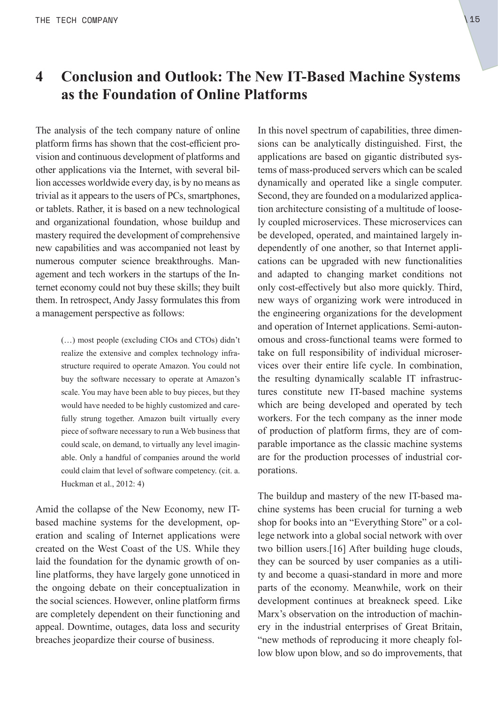## <span id="page-14-0"></span>**4 Conclusion and Outlook: The New IT-Based Machine Systems as the Foundation of Online Platforms**

The analysis of the tech company nature of online platform firms has shown that the cost-efficient provision and continuous development of platforms and other applications via the Internet, with several billion accesses worldwide every day, is by no means as trivial as it appears to the users of PCs, smartphones, or tablets. Rather, it is based on a new technological and organizational foundation, whose buildup and mastery required the development of comprehensive new capabilities and was accompanied not least by numerous computer science breakthroughs. Management and tech workers in the startups of the Internet economy could not buy these skills; they built them. In retrospect, Andy Jassy formulates this from a management perspective as follows:

> (…) most people (excluding CIOs and CTOs) didn't realize the extensive and complex technology infrastructure required to operate Amazon. You could not buy the software necessary to operate at Amazon's scale. You may have been able to buy pieces, but they would have needed to be highly customized and carefully strung together. Amazon built virtually every piece of software necessary to run a Web business that could scale, on demand, to virtually any level imaginable. Only a handful of companies around the world could claim that level of software competency. (cit. a. Huckman et al., 2012: 4)

Amid the collapse of the New Economy, new ITbased machine systems for the development, operation and scaling of Internet applications were created on the West Coast of the US. While they laid the foundation for the dynamic growth of online platforms, they have largely gone unnoticed in the ongoing debate on their conceptualization in the social sciences. However, online platform firms are completely dependent on their functioning and appeal. Downtime, outages, data loss and security breaches jeopardize their course of business.

In this novel spectrum of capabilities, three dimensions can be analytically distinguished. First, the applications are based on gigantic distributed systems of mass-produced servers which can be scaled dynamically and operated like a single computer. Second, they are founded on a modularized application architecture consisting of a multitude of loosely coupled microservices. These microservices can be developed, operated, and maintained largely independently of one another, so that Internet applications can be upgraded with new functionalities and adapted to changing market conditions not only cost-effectively but also more quickly. Third, new ways of organizing work were introduced in the engineering organizations for the development and operation of Internet applications. Semi-autonomous and cross-functional teams were formed to take on full responsibility of individual microservices over their entire life cycle. In combination, the resulting dynamically scalable IT infrastructures constitute new IT-based machine systems which are being developed and operated by tech workers. For the tech company as the inner mode of production of platform firms, they are of comparable importance as the classic machine systems are for the production processes of industrial corporations.

The buildup and mastery of the new IT-based machine systems has been crucial for turning a web shop for books into an "Everything Store" or a college network into a global social network with over two billion users.[16] [After building huge clouds,](#page-21-0)  they can be sourced by user companies as a utility and become a quasi-standard in more and more parts of the economy. Meanwhile, work on their development continues at breakneck speed. Like Marx's observation on the introduction of machinery in the industrial enterprises of Great Britain, "new methods of reproducing it more cheaply follow blow upon blow, and so do improvements, that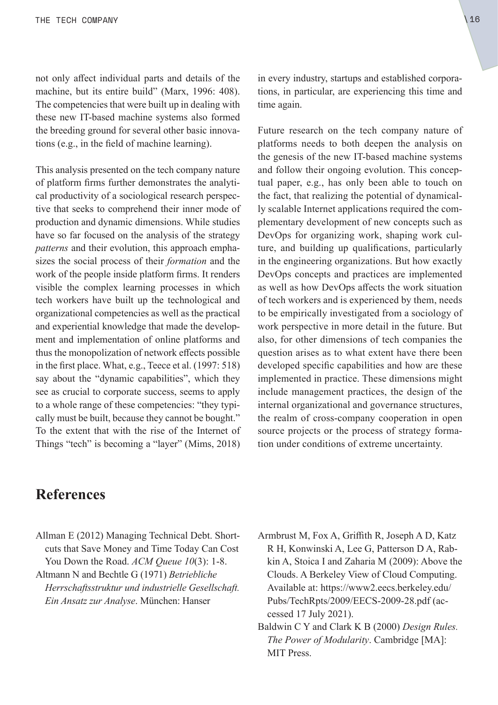<span id="page-15-0"></span>not only affect individual parts and details of the machine, but its entire build" (Marx, 1996: 408). The competencies that were built up in dealing with these new IT-based machine systems also formed the breeding ground for several other basic innovations (e.g., in the field of machine learning).

This analysis presented on the tech company nature of platform firms further demonstrates the analytical productivity of a sociological research perspective that seeks to comprehend their inner mode of production and dynamic dimensions. While studies have so far focused on the analysis of the strategy *patterns* and their evolution, this approach emphasizes the social process of their *formation* and the work of the people inside platform firms. It renders visible the complex learning processes in which tech workers have built up the technological and organizational competencies as well as the practical and experiential knowledge that made the development and implementation of online platforms and thus the monopolization of network effects possible in the first place. What, e.g., Teece et al. (1997: 518) say about the "dynamic capabilities", which they see as crucial to corporate success, seems to apply to a whole range of these competencies: "they typically must be built, because they cannot be bought." To the extent that with the rise of the Internet of Things "tech" is becoming a "layer" (Mims, 2018)

in every industry, startups and established corporations, in particular, are experiencing this time and time again.

Future research on the tech company nature of platforms needs to both deepen the analysis on the genesis of the new IT-based machine systems and follow their ongoing evolution. This conceptual paper, e.g., has only been able to touch on the fact, that realizing the potential of dynamically scalable Internet applications required the complementary development of new concepts such as DevOps for organizing work, shaping work culture, and building up qualifications, particularly in the engineering organizations. But how exactly DevOps concepts and practices are implemented as well as how DevOps affects the work situation of tech workers and is experienced by them, needs to be empirically investigated from a sociology of work perspective in more detail in the future. But also, for other dimensions of tech companies the question arises as to what extent have there been developed specific capabilities and how are these implemented in practice. These dimensions might include management practices, the design of the internal organizational and governance structures, the realm of cross-company cooperation in open source projects or the process of strategy formation under conditions of extreme uncertainty.

## **References**

- Allman E (2012) Managing Technical Debt. Shortcuts that Save Money and Time Today Can Cost You Down the Road. *ACM Queue 10*(3): 1-8.
- Altmann N and Bechtle G (1971) *Betriebliche Herrschaftsstruktur und industrielle Gesellschaft. Ein Ansatz zur Analyse*. München: Hanser
- Armbrust M, Fox A, Griffith R, Joseph A D, Katz R H, Konwinski A, Lee G, Patterson D A, Rabkin A, Stoica I and Zaharia M (2009): Above the Clouds. A Berkeley View of Cloud Computing. Available at: [https://www2.eecs.berkeley.edu/](https://www2.eecs.berkeley.edu/Pubs/TechRpts/2009/EECS-2009-28.pdf) [Pubs/TechRpts/2009/EECS-2009-28.pdf](https://www2.eecs.berkeley.edu/Pubs/TechRpts/2009/EECS-2009-28.pdf) (accessed 17 July 2021).
- Baldwin C Y and Clark K B (2000) *Design Rules. The Power of Modularity*. Cambridge [MA]: MIT Press.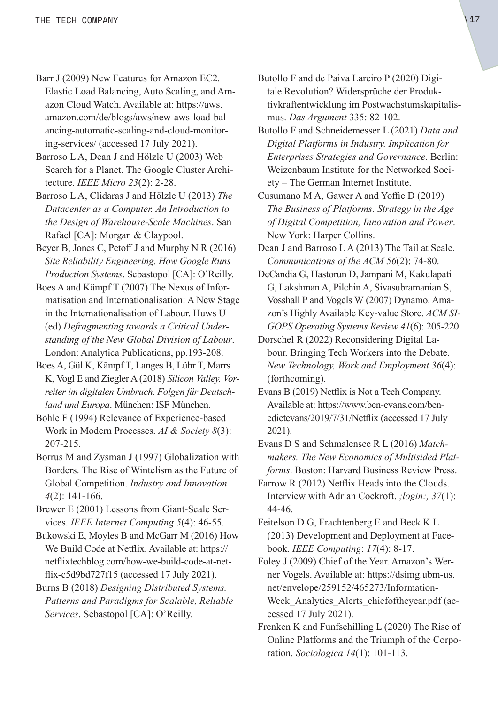- Barr J (2009) New Features for Amazon EC2. Elastic Load Balancing, Auto Scaling, and Amazon Cloud Watch. Available at: [https://aws.](https://aws.amazon.com/de/blogs/aws/new-aws-load-balancing-automatic-scaling-and-cloud-monitoring-services/) [amazon.com/de/blogs/aws/new-aws-load-bal](https://aws.amazon.com/de/blogs/aws/new-aws-load-balancing-automatic-scaling-and-cloud-monitoring-services/)[ancing-automatic-scaling-and-cloud-monitor](https://aws.amazon.com/de/blogs/aws/new-aws-load-balancing-automatic-scaling-and-cloud-monitoring-services/)[ing-services/](https://aws.amazon.com/de/blogs/aws/new-aws-load-balancing-automatic-scaling-and-cloud-monitoring-services/) (accessed 17 July 2021).
- Barroso L A, Dean J and Hölzle U (2003) Web Search for a Planet. The Google Cluster Architecture. *IEEE Micro 23*(2): 2-28.
- Barroso L A, Clidaras J and Hölzle U (2013) *The Datacenter as a Computer. An Introduction to the Design of Warehouse-Scale Machines*. San Rafael [CA]: Morgan & Claypool.
- Beyer B, Jones C, Petoff J and Murphy N R (2016) *Site Reliability Engineering. How Google Runs Production Systems*. Sebastopol [CA]: O'Reilly.
- Boes A and Kämpf T (2007) The Nexus of Informatisation and Internationalisation: A New Stage in the Internationalisation of Labour. Huws U (ed) *Defragmenting towards a Critical Understanding of the New Global Division of Labour*. London: Analytica Publications, pp.193-208.
- Boes A, Gül K, Kämpf T, Langes B, Lühr T, Marrs K, Vogl E and Ziegler A (2018) *Silicon Valley. Vorreiter im digitalen Umbruch. Folgen für Deutschland und Europa*. München: ISF München.
- Böhle F (1994) Relevance of Experience-based Work in Modern Processes. *AI & Society 8*(3): 207-215.
- Borrus M and Zysman J (1997) Globalization with Borders. The Rise of Wintelism as the Future of Global Competition. *Industry and Innovation 4*(2): 141-166.
- Brewer E (2001) Lessons from Giant-Scale Services. *IEEE Internet Computing 5*(4): 46-55.
- Bukowski E, Moyles B and McGarr M (2016) How We Build Code at Netflix. Available at: [https://](https://netflixtechblog.com/how-we-build-code-at-netflix-c5d9bd727f15) [netflixtechblog.com/how-we-build-code-at-net](https://netflixtechblog.com/how-we-build-code-at-netflix-c5d9bd727f15)[flix-c5d9bd727f15](https://netflixtechblog.com/how-we-build-code-at-netflix-c5d9bd727f15) (accessed 17 July 2021).
- Burns B (2018) *Designing Distributed Systems. Patterns and Paradigms for Scalable, Reliable Services*. Sebastopol [CA]: O'Reilly.
- Butollo F and de Paiva Lareiro P (2020) Digitale Revolution? Widersprüche der Produktivkraftentwicklung im Postwachstumskapitalismus. *Das Argument* 335: 82-102.
- Butollo F and Schneidemesser L (2021) *Data and Digital Platforms in Industry. Implication for Enterprises Strategies and Governance*. Berlin: Weizenbaum Institute for the Networked Society – The German Internet Institute.
- Cusumano M A, Gawer A and Yoffie D (2019) *The Business of Platforms. Strategy in the Age of Digital Competition, Innovation and Power*. New York: Harper Collins.
- Dean J and Barroso L A (2013) The Tail at Scale. *Communications of the ACM 56*(2): 74-80.
- DeCandia G, Hastorun D, Jampani M, Kakulapati G, Lakshman A, Pilchin A, Sivasubramanian S, Vosshall P and Vogels W (2007) Dynamo. Amazon's Highly Available Key-value Store. *ACM SI-GOPS Operating Systems Review 41*(6): 205-220.
- Dorschel R (2022) Reconsidering Digital Labour. Bringing Tech Workers into the Debate. *New Technology, Work and Employment 36*(4): (forthcoming).
- Evans B (2019) Netflix is Not a Tech Company. Available at: [https://www.ben-evans.com/ben](https://www.ben-evans.com/benedictevans/2019/7/31/Netflix)[edictevans/2019/7/31/Netflix](https://www.ben-evans.com/benedictevans/2019/7/31/Netflix) (accessed 17 July 2021).
- Evans D S and Schmalensee R L (2016) *Matchmakers. The New Economics of Multisided Platforms*. Boston: Harvard Business Review Press.
- Farrow R (2012) Netflix Heads into the Clouds. Interview with Adrian Cockroft. *;login:, 37*(1): 44-46.
- Feitelson D G, Frachtenberg E and Beck K L (2013) Development and Deployment at Facebook. *IEEE Computing*: *17*(4): 8-17.
- Foley J (2009) Chief of the Year. Amazon's Werner Vogels. Available at: [https://dsimg.ubm-us.](https://dsimg.ubm-us.net/envelope/259152/465273/InformationWeek_Analytics_Alerts_chiefoftheyear.pdf) [net/envelope/259152/465273/Information](https://dsimg.ubm-us.net/envelope/259152/465273/InformationWeek_Analytics_Alerts_chiefoftheyear.pdf)-Week Analytics Alerts chiefoftheyear.pdf (accessed 17 July 2021).
- Frenken K and Funfschilling L (2020) The Rise of Online Platforms and the Triumph of the Corporation. *Sociologica 14*(1): 101-113.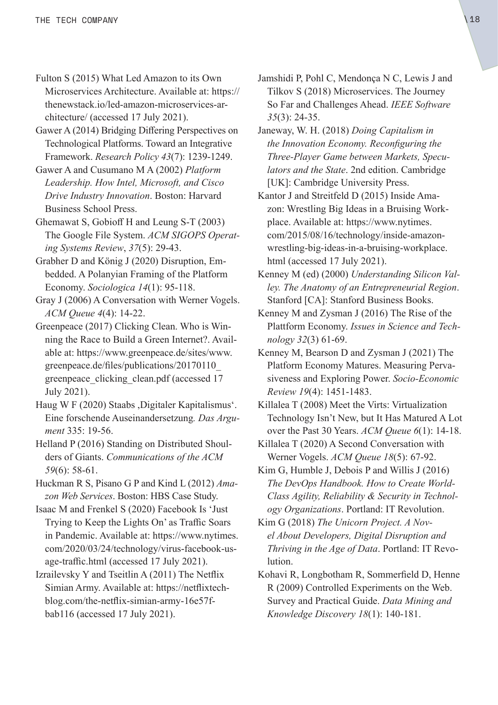- Fulton S (2015) What Led Amazon to its Own Microservices Architecture. Available at: [https://](https://thenewstack.io/led-amazon-microservices-architecture/) [thenewstack.io/led-amazon-microservices-ar](https://thenewstack.io/led-amazon-microservices-architecture/)[chitecture/](https://thenewstack.io/led-amazon-microservices-architecture/) (accessed 17 July 2021).
- Gawer A (2014) Bridging Differing Perspectives on Technological Platforms. Toward an Integrative Framework. *Research Policy 43*(7): 1239-1249.
- Gawer A and Cusumano M A (2002) *Platform Leadership. How Intel, Microsoft, and Cisco Drive Industry Innovation*. Boston: Harvard Business School Press.
- Ghemawat S, Gobioff H and Leung S-T (2003) The Google File System. *ACM SIGOPS Operating Systems Review*, *37*(5): 29-43.
- Grabher D and König J (2020) Disruption, Embedded. A Polanyian Framing of the Platform Economy. *Sociologica 14*(1): 95-118.
- Gray J (2006) A Conversation with Werner Vogels. *ACM Queue 4*(4): 14-22.
- Greenpeace (2017) Clicking Clean. Who is Winning the Race to Build a Green Internet?. Available at: [https://www.greenpeace.de/sites/www.](https://www.greenpeace.de/sites/www.greenpeace.de/files/publications/20170110_greenpeace_clicking_‌clean.pdf) [greenpeace.de/files/publications/20170110\\_](https://www.greenpeace.de/sites/www.greenpeace.de/files/publications/20170110_greenpeace_clicking_‌clean.pdf) greenpeace clicking clean.pdf (accessed 17 July 2021).
- Haug W F (2020) Staabs ,Digitaler Kapitalismus'. Eine forschende Auseinandersetzung*. Das Argument* 335: 19-56.
- Helland P (2016) Standing on Distributed Shoulders of Giants. *Communications of the ACM 59*(6): 58-61.
- Huckman R S, Pisano G P and Kind L (2012) *Amazon Web Services*. Boston: HBS Case Study.
- Isaac M and Frenkel S (2020) Facebook Is 'Just Trying to Keep the Lights On' as Traffic Soars in Pandemic. Available at: [https://www.nytimes.](https://www.nytimes.com/2020/03/24/technology/virus-facebook-usage-traffic.html) [com/2020/03/24/technology/virus-facebook-us](https://www.nytimes.com/2020/03/24/technology/virus-facebook-usage-traffic.html)[age-traffic.html](https://www.nytimes.com/2020/03/24/technology/virus-facebook-usage-traffic.html) (accessed 17 July 2021).
- Izrailevsky Y and Tseitlin A (2011) The Netflix Simian Army. Available at: [https://netflixtech](https://netflixtechblog.com/the-netflix-simian-army-16e57fbab116)[blog.com/the-netflix-simian-army-16e57f](https://netflixtechblog.com/the-netflix-simian-army-16e57fbab116)[bab116](https://netflixtechblog.com/the-netflix-simian-army-16e57fbab116) (accessed 17 July 2021).
- Jamshidi P, Pohl C, Mendonça N C, Lewis J and Tilkov S (2018) Microservices. The Journey So Far and Challenges Ahead. *IEEE Software 35*(3): 24-35.
- Janeway, W. H. (2018) *Doing Capitalism in the Innovation Economy. Reconfiguring the Three-Player Game between Markets, Speculators and the State*. 2nd edition. Cambridge [UK]: Cambridge University Press.
- Kantor J and Streitfeld D (2015) Inside Amazon: Wrestling Big Ideas in a Bruising Workplace. Available at: [https://www.nytimes.](https://www.nytimes.com/2015/08/16/technology/inside-amazon-wrestling-big-ideas-in-a-bruising-workplace.html) [com/2015/08/16/technology/inside-amazon](https://www.nytimes.com/2015/08/16/technology/inside-amazon-wrestling-big-ideas-in-a-bruising-workplace.html)[wrestling-big-ideas-in-a-bruising-workplace.](https://www.nytimes.com/2015/08/16/technology/inside-amazon-wrestling-big-ideas-in-a-bruising-workplace.html) [html](https://www.nytimes.com/2015/08/16/technology/inside-amazon-wrestling-big-ideas-in-a-bruising-workplace.html) (accessed 17 July 2021).
- Kenney M (ed) (2000) *Understanding Silicon Valley. The Anatomy of an Entrepreneurial Region*. Stanford [CA]: Stanford Business Books.
- Kenney M and Zysman J (2016) The Rise of the Plattform Economy. *Issues in Science and Technology 32*(3) 61-69.
- Kenney M, Bearson D and Zysman J (2021) The Platform Economy Matures. Measuring Pervasiveness and Exploring Power. *Socio-Economic Review 19*(4): 1451-1483.
- Killalea T (2008) Meet the Virts: Virtualization Technology Isn't New, but It Has Matured A Lot over the Past 30 Years. *ACM Queue 6*(1): 14-18.
- Killalea T (2020) A Second Conversation with Werner Vogels. *ACM Queue 18*(5): 67-92.
- Kim G, Humble J, Debois P and Willis J (2016) *The DevOps Handbook. How to Create World-Class Agility, Reliability & Security in Technology Organizations*. Portland: IT Revolution.
- Kim G (2018) *The Unicorn Project. A Novel About Developers, Digital Disruption and Thriving in the Age of Data*. Portland: IT Revolution.
- Kohavi R, Longbotham R, Sommerfield D, Henne R (2009) Controlled Experiments on the Web. Survey and Practical Guide. *Data Mining and Knowledge Discovery 18*(1): 140-181.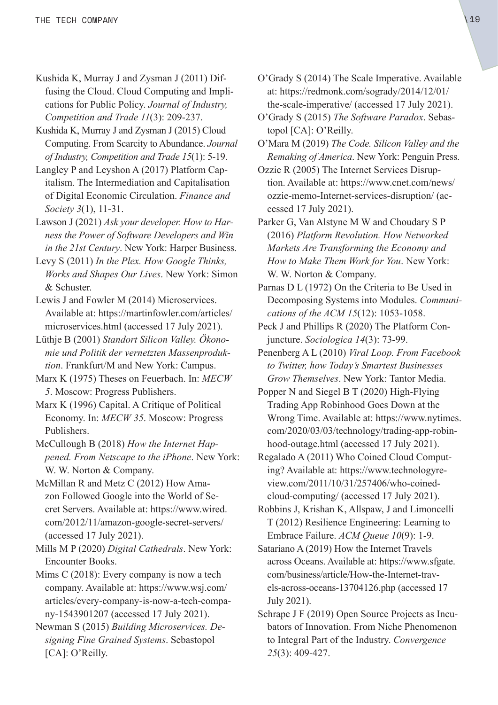- Kushida K, Murray J and Zysman J (2011) Diffusing the Cloud. Cloud Computing and Implications for Public Policy. *Journal of Industry, Competition and Trade 11*(3): 209-237.
- Kushida K, Murray J and Zysman J (2015) Cloud Computing. From Scarcity to Abundance. *Journal of Industry, Competition and Trade 15*(1): 5-19.
- Langley P and Leyshon A (2017) Platform Capitalism. The Intermediation and Capitalisation of Digital Economic Circulation. *Finance and Society 3*(1), 11-31.
- Lawson J (2021) *Ask your developer. How to Harness the Power of Software Developers and Win in the 21st Century*. New York: Harper Business.
- Levy S (2011) *In the Plex. How Google Thinks, Works and Shapes Our Lives*. New York: Simon & Schuster.
- Lewis J and Fowler M (2014) Microservices. Available at: [https://martinfowler.com/articles/](https://martinfowler.com/articles/microservices.html) [microservices.html](https://martinfowler.com/articles/microservices.html) (accessed 17 July 2021).
- Lüthje B (2001) *Standort Silicon Valley. Ökonomie und Politik der vernetzten Massenproduktion*. Frankfurt/M and New York: Campus.
- Marx K (1975) Theses on Feuerbach. In: *MECW 5*. Moscow: Progress Publishers.
- Marx K (1996) Capital. A Critique of Political Economy. In: *MECW 35*. Moscow: Progress Publishers.
- McCullough B (2018) *How the Internet Happened. From Netscape to the iPhone*. New York: W. W. Norton & Company.
- McMillan R and Metz C (2012) How Amazon Followed Google into the World of Secret Servers. Available at: [https://www.wired.](https://www.wired.com/2012/11/amazon-google-secret-servers/) [com/2012/11/amazon-google-secret-servers/](https://www.wired.com/2012/11/amazon-google-secret-servers/) (accessed 17 July 2021).
- Mills M P (2020) *Digital Cathedrals*. New York: Encounter Books.
- Mims C (2018): Every company is now a tech company. Available at: [https://www.wsj.com/](https://www.wsj.com/articles/every-company-is-now-a-tech-company-1543901207) [articles/every-company-is-now-a-tech-compa](https://www.wsj.com/articles/every-company-is-now-a-tech-company-1543901207)[ny-1543901207](https://www.wsj.com/articles/every-company-is-now-a-tech-company-1543901207) (accessed 17 July 2021).
- Newman S (2015) *Building Microservices. Designing Fine Grained Systems*. Sebastopol [CA]: O'Reilly.
- O'Grady S (2014) The Scale Imperative. Available at: [https://redmonk.com/sogrady/2014/12/01/](https://redmonk.com/sogrady/2014/12/01/the-scale-imperative/) [the-scale-imperative/](https://redmonk.com/sogrady/2014/12/01/the-scale-imperative/) (accessed 17 July 2021).
- O'Grady S (2015) *The Software Paradox*. Sebastopol [CA]: O'Reilly.
- O'Mara M (2019) *The Code. Silicon Valley and the Remaking of America*. New York: Penguin Press.
- Ozzie R (2005) The Internet Services Disruption. Available at: [https://www.cnet.com/news/](https://www.cnet.com/news/ozzie-memo-internet-services-disruption/) [ozzie-memo-Internet-services-disruption/](https://www.cnet.com/news/ozzie-memo-internet-services-disruption/) (accessed 17 July 2021).
- Parker G, Van Alstyne M W and Choudary S P (2016) *Platform Revolution. How Networked Markets Are Transforming the Economy and How to Make Them Work for You*. New York: W. W. Norton & Company.
- Parnas D L (1972) On the Criteria to Be Used in Decomposing Systems into Modules. *Communications of the ACM 15*(12): 1053-1058.
- Peck J and Phillips R (2020) The Platform Conjuncture. *Sociologica 14*(3): 73-99.
- Penenberg A L (2010) *Viral Loop. From Facebook to Twitter, how Today's Smartest Businesses Grow Themselves*. New York: Tantor Media.
- Popper N and Siegel B T (2020) High-Flying Trading App Robinhood Goes Down at the Wrong Time. Available at: [https://www.nytimes.](https://www.nytimes.com/2020/03/03/technology/trading-app-robinhood-outage.html) [com/2020/03/03/technology/trading-app-robin](https://www.nytimes.com/2020/03/03/technology/trading-app-robinhood-outage.html)[hood-outage.html](https://www.nytimes.com/2020/03/03/technology/trading-app-robinhood-outage.html) (accessed 17 July 2021).
- Regalado A (2011) Who Coined Cloud Computing? Available at: [https://www.technologyre](https://www.technologyreview.com/2011/10/31/‌257406/‌who-coined-‌cloud-‌computing/)[view.com/2011/10/31/257406/who-coined](https://www.technologyreview.com/2011/10/31/‌257406/‌who-coined-‌cloud-‌computing/)[cloud-computing/](https://www.technologyreview.com/2011/10/31/‌257406/‌who-coined-‌cloud-‌computing/) (accessed 17 July 2021).
- Robbins J, Krishan K, Allspaw, J and Limoncelli T (2012) Resilience Engineering: Learning to Embrace Failure. *ACM Queue 10*(9): 1-9.
- Satariano A (2019) How the Internet Travels across Oceans. Available at: [https://www.sfgate.](https://www.sfgate.com/business/article/How-the-internet-travels-across-oceans-13704126.php) [com/business/article/How-the-Internet-trav](https://www.sfgate.com/business/article/How-the-internet-travels-across-oceans-13704126.php)[els-across-oceans-13704126.php](https://www.sfgate.com/business/article/How-the-internet-travels-across-oceans-13704126.php) (accessed 17 July 2021).
- Schrape J F (2019) Open Source Projects as Incubators of Innovation. From Niche Phenomenon to Integral Part of the Industry. *Convergence 25*(3): 409-427.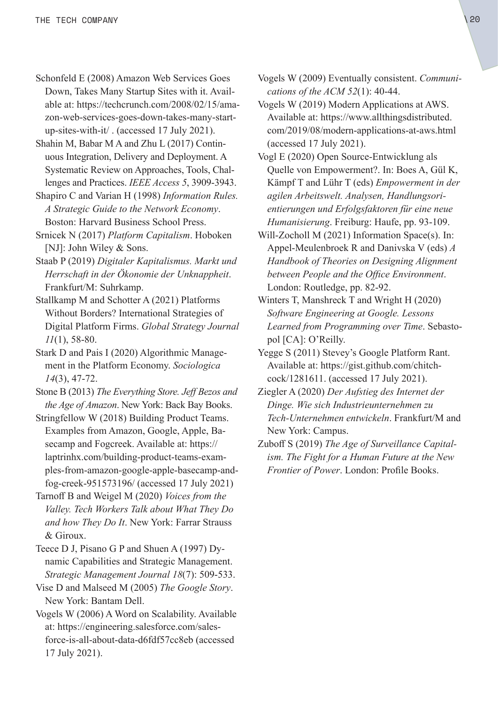Schonfeld E (2008) Amazon Web Services Goes Down, Takes Many Startup Sites with it. Available at: [https://techcrunch.com/2008/02/15/ama](https://techcrunch.com/2008/02/15/amazon-web-services-goes-down-takes-many-startup-sites-with-it/)[zon-web-services-goes-down-takes-many-start](https://techcrunch.com/2008/02/15/amazon-web-services-goes-down-takes-many-startup-sites-with-it/)[up-sites-with-it/](https://techcrunch.com/2008/02/15/amazon-web-services-goes-down-takes-many-startup-sites-with-it/) . (accessed 17 July 2021).

Shahin M, Babar M A and Zhu L (2017) Continuous Integration, Delivery and Deployment. A Systematic Review on Approaches, Tools, Challenges and Practices. *IEEE Access 5*, 3909-3943.

Shapiro C and Varian H (1998) *Information Rules. A Strategic Guide to the Network Economy*. Boston: Harvard Business School Press.

Srnicek N (2017) *Platform Capitalism*. Hoboken [NJ]: John Wiley & Sons.

Staab P (2019) *Digitaler Kapitalismus. Markt und Herrschaft in der Ökonomie der Unknappheit*. Frankfurt/M: Suhrkamp.

Stallkamp M and Schotter A (2021) Platforms Without Borders? International Strategies of Digital Platform Firms. *Global Strategy Journal 11*(1), 58-80.

Stark D and Pais I (2020) Algorithmic Management in the Platform Economy. *Sociologica 14*(3), 47-72.

Stone B (2013) *The Everything Store. Jeff Bezos and the Age of Amazon*. New York: Back Bay Books.

Stringfellow W (2018) Building Product Teams. Examples from Amazon, Google, Apple, Basecamp and Fogcreek. Available at: [https://](https://laptrinhx.com/building-product-teams-examples-from-amazon-google-apple-basecamp-and-fog-creek-951573196/) [laptrinhx.com/building-product-teams-exam](https://laptrinhx.com/building-product-teams-examples-from-amazon-google-apple-basecamp-and-fog-creek-951573196/)[ples-from-amazon-google-apple-basecamp-and](https://laptrinhx.com/building-product-teams-examples-from-amazon-google-apple-basecamp-and-fog-creek-951573196/)[fog-creek-951573196/](https://laptrinhx.com/building-product-teams-examples-from-amazon-google-apple-basecamp-and-fog-creek-951573196/) (accessed 17 July 2021)

Tarnoff B and Weigel M (2020) *Voices from the Valley. Tech Workers Talk about What They Do and how They Do It*. New York: Farrar Strauss & Giroux.

Teece D J, Pisano G P and Shuen A (1997) Dynamic Capabilities and Strategic Management. *Strategic Management Journal 18*(7): 509-533.

Vise D and Malseed M (2005) *The Google Story*. New York: Bantam Dell.

Vogels W (2006) A Word on Scalability. Available at: [https://engineering.salesforce.com/sales](https://engineering.salesforce.com/salesforce-is-all-about-data-d6fdf57cc8eb)[force-is-all-about-data-d6fdf57cc8eb](https://engineering.salesforce.com/salesforce-is-all-about-data-d6fdf57cc8eb) (accessed 17 July 2021).

Vogels W (2009) Eventually consistent. *Communications of the ACM 52*(1): 40-44.

Vogels W (2019) Modern Applications at AWS. Available at: [https://www.allthingsdistributed.](https://www.allthingsdistributed.com/2019/08/modern-applications-at-aws.html) [com/2019/08/modern-applications-at-aws.html](https://www.allthingsdistributed.com/2019/08/modern-applications-at-aws.html) (accessed 17 July 2021).

Vogl E (2020) Open Source-Entwicklung als Quelle von Empowerment?. In: Boes A, Gül K, Kämpf T and Lühr T (eds) *Empowerment in der agilen Arbeitswelt. Analysen, Handlungsorientierungen und Erfolgsfaktoren für eine neue Humanisierung*. Freiburg: Haufe, pp. 93-109.

Will-Zocholl M (2021) Information Space(s). In: Appel-Meulenbroek R and Danivska V (eds) *A Handbook of Theories on Designing Alignment between People and the Office Environment*. London: Routledge, pp. 82-92.

Winters T, Manshreck T and Wright H (2020) *Software Engineering at Google. Lessons Learned from Programming over Time*. Sebastopol [CA]: O'Reilly.

Yegge S (2011) Stevey's Google Platform Rant. Available at: [https://gist.github.com/chitch](https://gist.github.com/chitchcock/1281611)[cock/1281611](https://gist.github.com/chitchcock/1281611). (accessed 17 July 2021).

Ziegler A (2020) *Der Aufstieg des Internet der Dinge. Wie sich Industrieunternehmen zu Tech-Unternehmen entwickeln*. Frankfurt/M and New York: Campus.

Zuboff S (2019) *The Age of Surveillance Capitalism. The Fight for a Human Future at the New Frontier of Power*. London: Profile Books.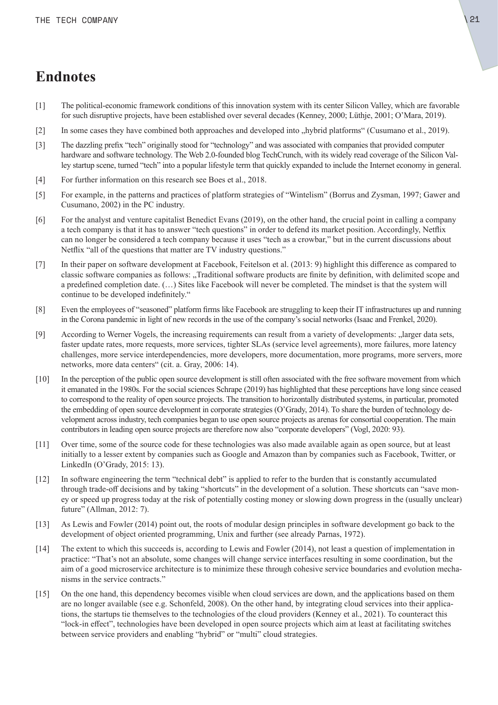### <span id="page-20-0"></span>**Endnotes**

- [\[1\]](#page-3-0) The political-economic framework conditions of this innovation system with its center Silicon Valley, which are favorable for such disruptive projects, have been established over several decades (Kenney, 2000; Lüthje, 2001; O'Mara, 2019).
- [\[2\]](#page-3-0) In some cases they have combined both approaches and developed into "hybrid platforms" (Cusumano et al., 2019).
- [\[3\]](#page-4-0) The dazzling prefix "tech" originally stood for "technology" and was associated with companies that provided computer hardware and software technology. The Web 2.0-founded blog TechCrunch, with its widely read coverage of the Silicon Valley startup scene, turned "tech" into a popular lifestyle term that quickly expanded to include the Internet economy in general.
- [\[4\]](#page-4-0) For further information on this research see Boes et al., 2018.
- [\[5\]](#page-4-0) For example, in the patterns and practices of platform strategies of "Wintelism" (Borrus and Zysman, 1997; Gawer and Cusumano, 2002) in the PC industry.
- [\[6\]](#page-5-0) For the analyst and venture capitalist Benedict Evans (2019), on the other hand, the crucial point in calling a company a tech company is that it has to answer "tech questions" in order to defend its market position. Accordingly, Netflix can no longer be considered a tech company because it uses "tech as a crowbar," but in the current discussions about Netflix "all of the questions that matter are TV industry questions."
- [\[7\]](#page-6-0) In their paper on software development at Facebook, Feitelson et al. (2013: 9) highlight this difference as compared to classic software companies as follows: "Traditional software products are finite by definition, with delimited scope and a predefined completion date. (…) Sites like Facebook will never be completed. The mindset is that the system will continue to be developed indefinitely."
- [\[8\]](#page-6-0) Even the employees of "seasoned" platform firms like Facebook are struggling to keep their IT infrastructures up and running in the Corona pandemic in light of new records in the use of the company's social networks (Isaac and Frenkel, 2020).
- [\[9\]](#page-7-0) According to Werner Vogels, the increasing requirements can result from a variety of developments: "larger data sets, faster update rates, more requests, more services, tighter SLAs (service level agreements), more failures, more latency challenges, more service interdependencies, more developers, more documentation, more programs, more servers, more networks, more data centers" (cit. a. Gray, 2006: 14).
- [\[10\]](#page-8-0) In the perception of the public open source development is still often associated with the free software movement from which it emanated in the 1980s. For the social sciences Schrape (2019) has highlighted that these perceptions have long since ceased to correspond to the reality of open source projects. The transition to horizontally distributed systems, in particular, promoted the embedding of open source development in corporate strategies (O'Grady, 2014). To share the burden of technology development across industry, tech companies began to use open source projects as arenas for consortial cooperation. The main contributors in leading open source projects are therefore now also "corporate developers" (Vogl, 2020: 93).
- [\[11\]](#page-8-0) Over time, some of the source code for these technologies was also made available again as open source, but at least initially to a lesser extent by companies such as Google and Amazon than by companies such as Facebook, Twitter, or LinkedIn (O'Grady, 2015: 13).
- [\[12\]](#page-9-0) In software engineering the term "technical debt" is applied to refer to the burden that is constantly accumulated through trade-off decisions and by taking "shortcuts" in the development of a solution. These shortcuts can "save money or speed up progress today at the risk of potentially costing money or slowing down progress in the (usually unclear) future" (Allman, 2012: 7).
- [\[13\]](#page-9-0) As Lewis and Fowler (2014) point out, the roots of modular design principles in software development go back to the development of object oriented programming, Unix and further (see already Parnas, 1972).
- [\[14\]](#page-10-0) The extent to which this succeeds is, according to Lewis and Fowler (2014), not least a question of implementation in practice: "That's not an absolute, some changes will change service interfaces resulting in some coordination, but the aim of a good microservice architecture is to minimize these through cohesive service boundaries and evolution mechanisms in the service contracts."
- [\[15\]](#page-13-0) On the one hand, this dependency becomes visible when cloud services are down, and the applications based on them are no longer available (see e.g. Schonfeld, 2008). On the other hand, by integrating cloud services into their applications, the startups tie themselves to the technologies of the cloud providers (Kenney et al., 2021). To counteract this "lock-in effect", technologies have been developed in open source projects which aim at least at facilitating switches between service providers and enabling "hybrid" or "multi" cloud strategies.